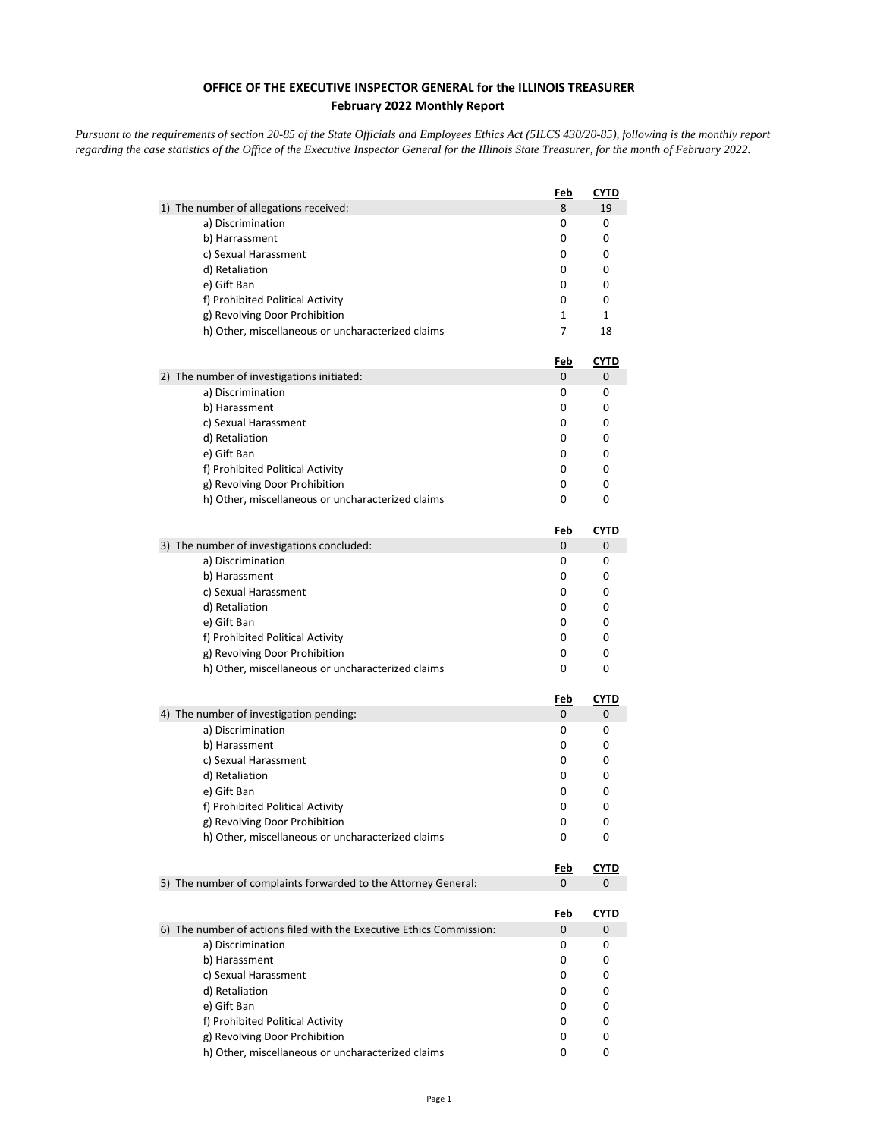## **OFFICE OF THE EXECUTIVE INSPECTOR GENERAL for the ILLINOIS TREASURER February 2022 Monthly Report**

*Pursuant to the requirements of section 20-85 of the State Officials and Employees Ethics Act (5ILCS 430/20-85), following is the monthly report regarding the case statistics of the Office of the Executive Inspector General for the Illinois State Treasurer, for the month of February 2022.* 

|                                                                      | Feb             | CYTD             |
|----------------------------------------------------------------------|-----------------|------------------|
| 1) The number of allegations received:                               | 8               | 19               |
| a) Discrimination                                                    | 0               | 0                |
| b) Harrassment                                                       | 0               | 0                |
| c) Sexual Harassment                                                 | 0               | 0                |
| d) Retaliation                                                       | 0               | 0                |
| e) Gift Ban                                                          | 0               | 0                |
| f) Prohibited Political Activity                                     | 0               | 0                |
| g) Revolving Door Prohibition                                        | 1               | $\mathbf{1}$     |
| h) Other, miscellaneous or uncharacterized claims                    | 7               | 18               |
|                                                                      | <u>Feb</u>      | <u>CYTD</u>      |
| 2) The number of investigations initiated:                           | 0               | 0                |
| a) Discrimination                                                    | 0               | 0                |
| b) Harassment                                                        | 0               | 0                |
| c) Sexual Harassment                                                 | 0               | 0                |
| d) Retaliation                                                       | 0               | 0                |
| e) Gift Ban                                                          | 0               | 0                |
| f) Prohibited Political Activity                                     | 0               | 0                |
| g) Revolving Door Prohibition                                        | 0               | 0                |
| h) Other, miscellaneous or uncharacterized claims                    | 0               | 0                |
|                                                                      | <u>Feb</u>      | <u>CYTD</u>      |
| 3) The number of investigations concluded:                           | 0               | 0                |
| a) Discrimination                                                    | 0               | 0                |
| b) Harassment                                                        | 0               | 0                |
| c) Sexual Harassment                                                 | 0               | 0                |
| d) Retaliation                                                       | 0               | 0                |
| e) Gift Ban                                                          | 0               | 0                |
| f) Prohibited Political Activity                                     | 0               | 0                |
| g) Revolving Door Prohibition                                        | 0               | 0                |
| h) Other, miscellaneous or uncharacterized claims                    | 0               | 0                |
|                                                                      | <u>Feb</u>      | <u>CYTD</u>      |
| 4) The number of investigation pending:                              | 0               | 0                |
| a) Discrimination                                                    | 0               | 0                |
| b) Harassment                                                        | 0               | 0                |
| c) Sexual Harassment                                                 | 0               | 0                |
| d) Retaliation                                                       | 0               | 0                |
| e) Gift Ban                                                          | 0               | 0                |
| f) Prohibited Political Activity                                     | 0               | 0                |
| g) Revolving Door Prohibition                                        | 0               | 0                |
| h) Other, miscellaneous or uncharacterized claims                    | 0               | 0                |
|                                                                      | <u>Feb</u>      | <b>CYTD</b>      |
| 5) The number of complaints forwarded to the Attorney General:       | 0               | 0                |
|                                                                      |                 |                  |
| 6) The number of actions filed with the Executive Ethics Commission: | <u>Feb</u><br>0 | <u>CYTD</u><br>0 |
|                                                                      |                 | 0                |
| a) Discrimination<br>b) Harassment                                   | 0<br>0          | 0                |
|                                                                      |                 |                  |
| c) Sexual Harassment<br>d) Retaliation                               | 0<br>0          | 0<br>0           |
| e) Gift Ban                                                          |                 | 0                |
| f) Prohibited Political Activity                                     | 0<br>0          | 0                |
| g) Revolving Door Prohibition                                        | 0               | 0                |
| h) Other, miscellaneous or uncharacterized claims                    | 0               | 0                |
|                                                                      |                 |                  |